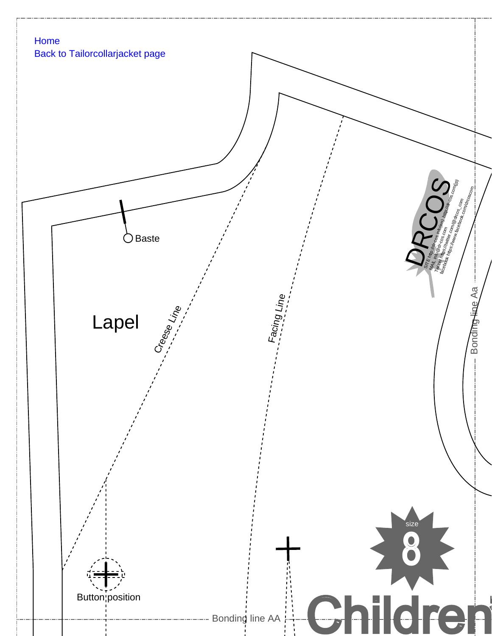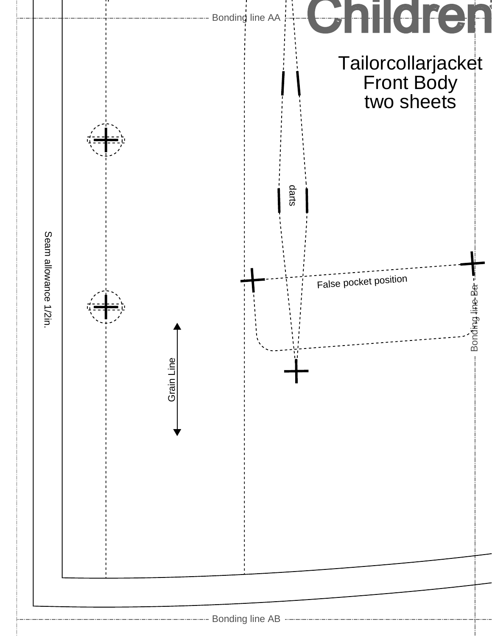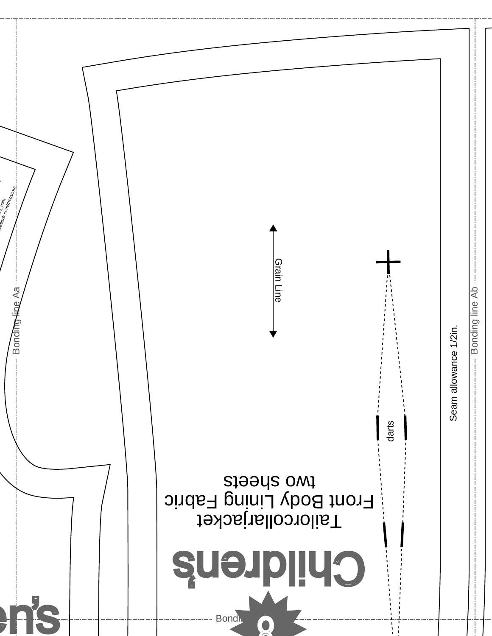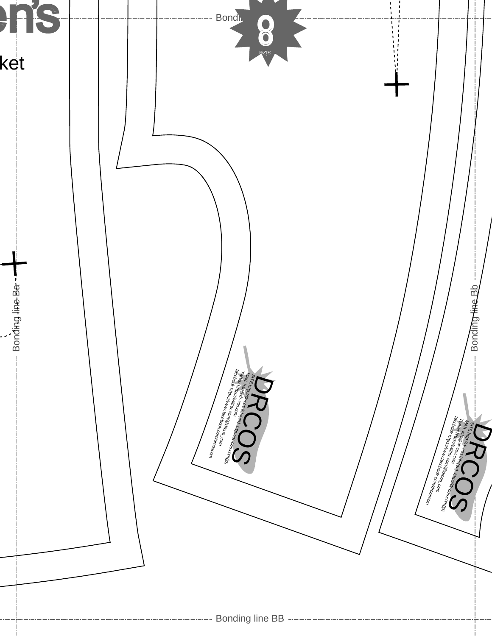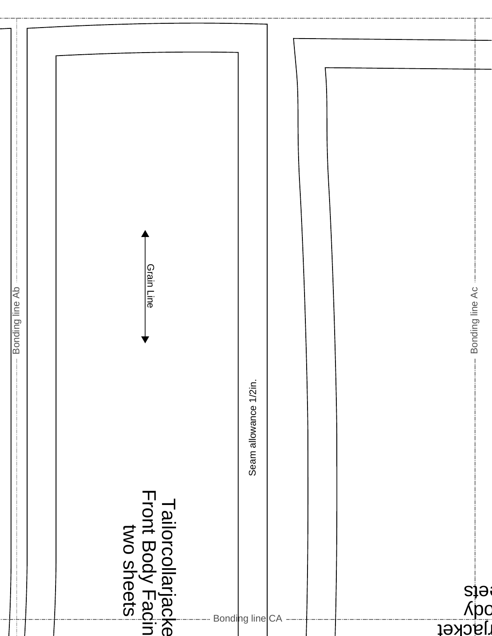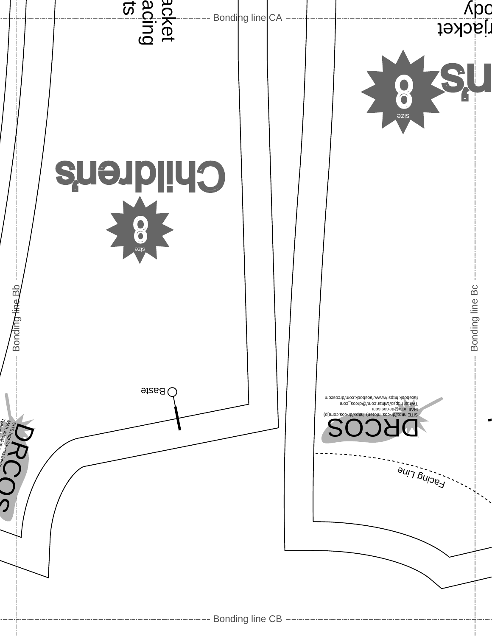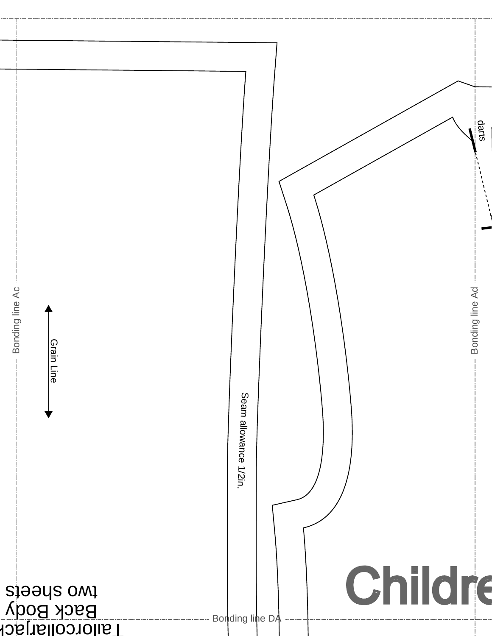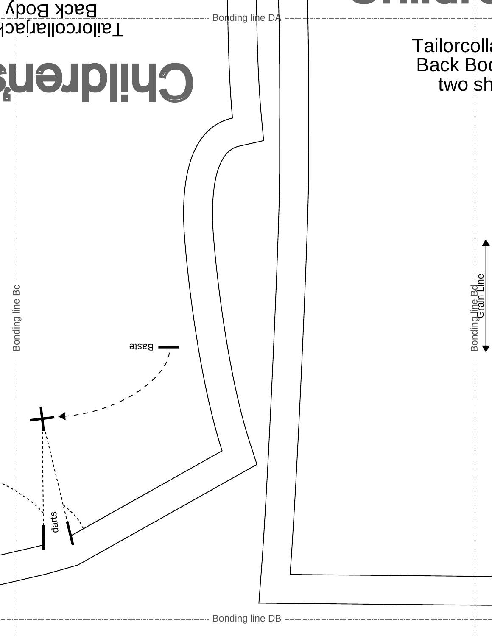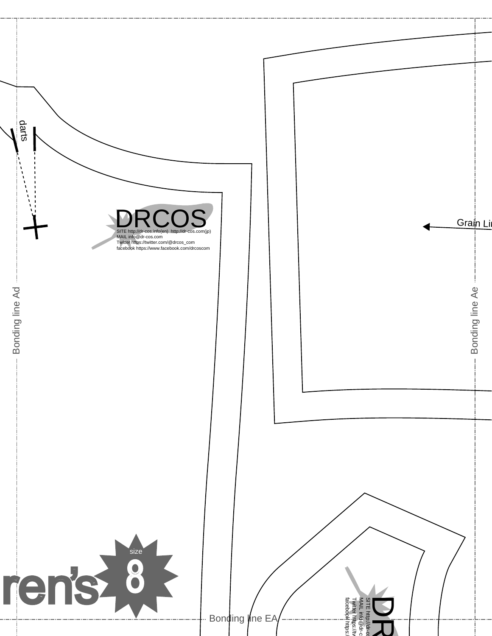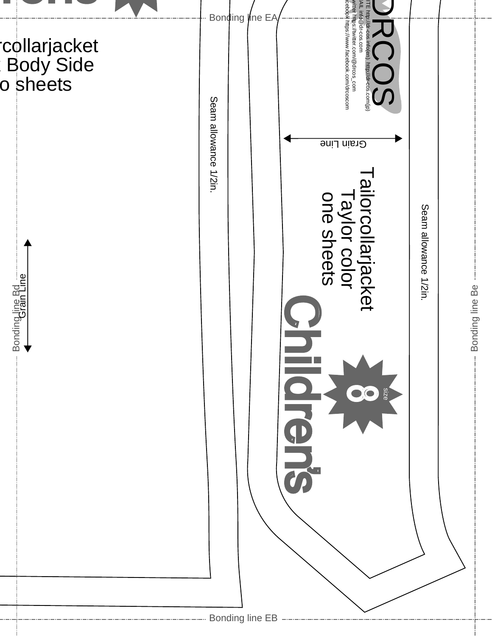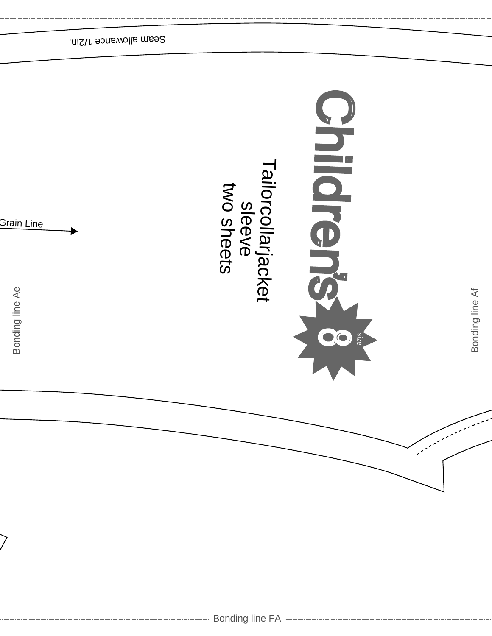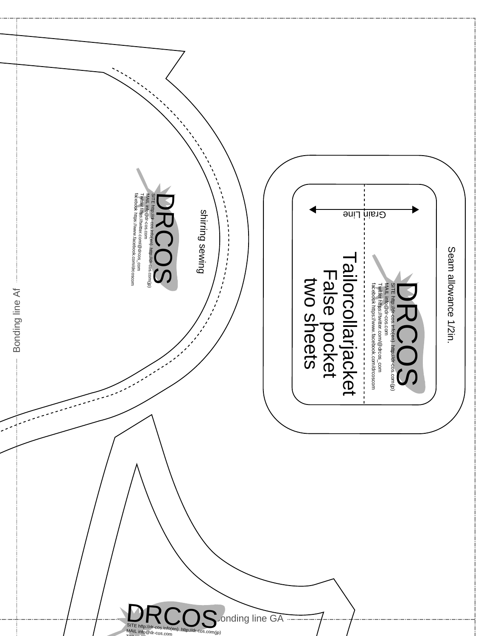